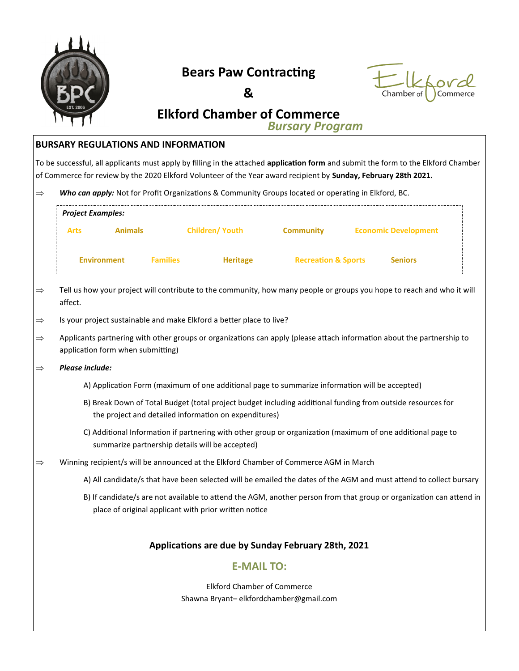

### **Bears Paw Contracting**





# **Elkford Chamber of Commerce**

*Bursary Program*

### **BURSARY REGULATIONS AND INFORMATION**

To be successful, all applicants must apply by filling in the attached **application form** and submit the form to the Elkford Chamber of Commerce for review by the 2020 Elkford Volunteer of the Year award recipient by **Sunday, February 28th 2021.**

 $\Rightarrow$  Who can apply: Not for Profit Organizations & Community Groups located or operating in Elkford, BC.

| <b>Project Examples:</b> |                                   |                                                                                                                                                                              |                                |                             |  |
|--------------------------|-----------------------------------|------------------------------------------------------------------------------------------------------------------------------------------------------------------------------|--------------------------------|-----------------------------|--|
| <b>Arts</b>              | <b>Animals</b>                    | <b>Children/ Youth</b>                                                                                                                                                       | <b>Community</b>               | <b>Economic Development</b> |  |
| <b>Environment</b>       | <b>Families</b>                   | Heritage                                                                                                                                                                     | <b>Recreation &amp; Sports</b> | <b>Seniors</b>              |  |
| affect.                  |                                   | Tell us how your project will contribute to the community, how many people or groups you hope to reach and who it will                                                       |                                |                             |  |
|                          |                                   | Is your project sustainable and make Elkford a better place to live?                                                                                                         |                                |                             |  |
|                          | application form when submitting) | Applicants partnering with other groups or organizations can apply (please attach information about the partnership to                                                       |                                |                             |  |
| Please include:          |                                   |                                                                                                                                                                              |                                |                             |  |
|                          |                                   | A) Application Form (maximum of one additional page to summarize information will be accepted)                                                                               |                                |                             |  |
|                          |                                   | B) Break Down of Total Budget (total project budget including additional funding from outside resources for<br>the project and detailed information on expenditures)         |                                |                             |  |
|                          |                                   | C) Additional Information if partnering with other group or organization (maximum of one additional page to<br>summarize partnership details will be accepted)               |                                |                             |  |
|                          |                                   | Winning recipient/s will be announced at the Elkford Chamber of Commerce AGM in March                                                                                        |                                |                             |  |
|                          |                                   | A) All candidate/s that have been selected will be emailed the dates of the AGM and must attend to collect bursary                                                           |                                |                             |  |
|                          |                                   | B) If candidate/s are not available to attend the AGM, another person from that group or organization can attend in<br>place of original applicant with prior written notice |                                |                             |  |
|                          |                                   | Applications are due by Sunday February 28th, 2021                                                                                                                           |                                |                             |  |
|                          |                                   | <b>E-MAIL TO:</b>                                                                                                                                                            |                                |                             |  |
|                          |                                   | <b>Elkford Chamber of Commerce</b>                                                                                                                                           |                                |                             |  |

Shawna Bryant– elkfordchamber@gmail.com